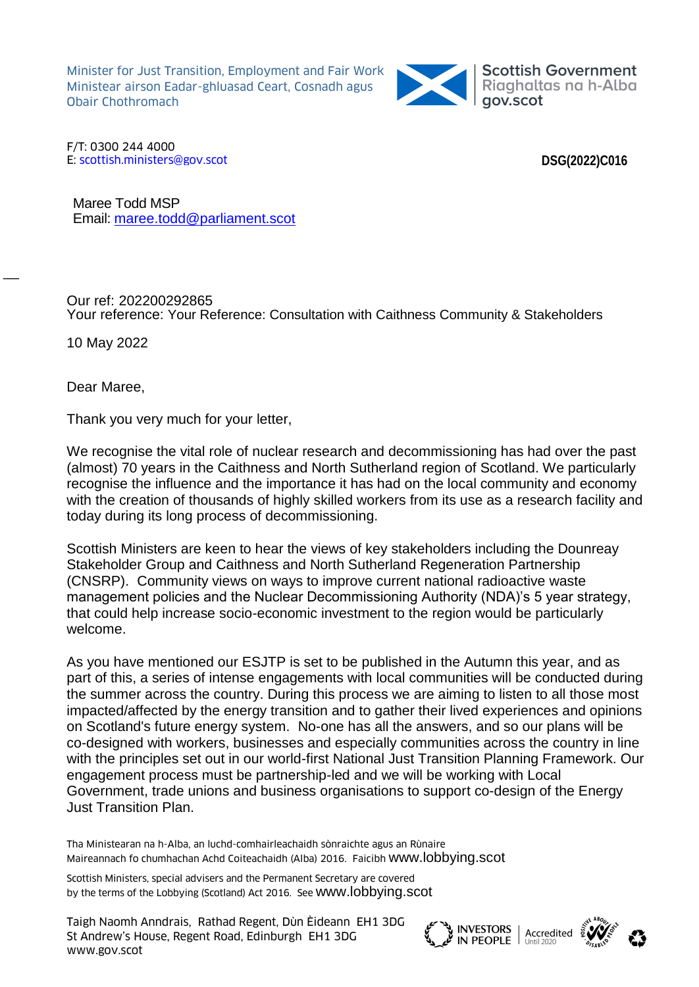Minister for Just Transition, Employment and Fair Work Ministear airson Eadar-ghluasad Ceart, Cosnadh agus Obair Chothromach



F/T: 0300 244 4000 E: [scottish.ministers@gov.scot](mailto:scottish.ministers@gov.scot)

**DSG(2022)C016**

Maree Todd MSP Email: [maree.todd@parliament.scot](mailto:maree.todd@parliament.scot)

Our ref: 202200292865 Your reference: Your Reference: Consultation with Caithness Community & Stakeholders

10 May 2022

 $\overline{\phantom{a}}$ 

Dear Maree,

Thank you very much for your letter,

We recognise the vital role of nuclear research and decommissioning has had over the past (almost) 70 years in the Caithness and North Sutherland region of Scotland. We particularly recognise the influence and the importance it has had on the local community and economy with the creation of thousands of highly skilled workers from its use as a research facility and today during its long process of decommissioning.

Scottish Ministers are keen to hear the views of key stakeholders including the Dounreay Stakeholder Group and Caithness and North Sutherland Regeneration Partnership (CNSRP). Community views on ways to improve current national radioactive waste management policies and the Nuclear Decommissioning Authority (NDA)'s 5 year strategy, that could help increase socio-economic investment to the region would be particularly welcome.

As you have mentioned our ESJTP is set to be published in the Autumn this year, and as part of this, a series of intense engagements with local communities will be conducted during the summer across the country. During this process we are aiming to listen to all those most impacted/affected by the energy transition and to gather their lived experiences and opinions on Scotland's future energy system. No-one has all the answers, and so our plans will be co-designed with workers, businesses and especially communities across the country in line with the principles set out in our world-first National Just Transition Planning Framework. Our engagement process must be partnership-led and we will be working with Local Government, trade unions and business organisations to support co-design of the Energy Just Transition Plan.

Tha Ministearan na h-Alba, an luchd-comhairleachaidh sònraichte agus an Rùnaire Maireannach fo chumhachan Achd Coiteachaidh (Alba) 2016. Faicibh [www.lobbying.scot](http://www.lobbying.scot/)

Scottish Ministers, special advisers and the Permanent Secretary are covered by the terms of the Lobbying (Scotland) Act 2016. See [www.lobbying.scot](http://www.lobbying.scot/)